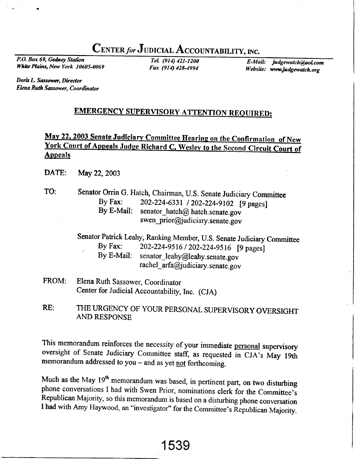## CENTER for JUDICIAL ACCOUNTABILITY, INC.

P.O. Box 69, Gedney Station White Plains, New York 10605-0069

TeL (914) 421-1200 Fax (914) 42E-4994

E-Mail: judgewatch@aol.com Website: www.judgewatch.org

Doris L. Sassower, Director Elena Ruth Sassower, Coordinator

### **EMERGENCY SUPERVISORY ATTENTION REQUIRED:**

## **Appeals** May 22, 2003 Senate Judiciary Committee Hearing on the Confirmation of New York Court of Appeals Judge Richard C. Wesley to the Second Circuit Court of

- DATE: May 22, 2003
- TO: Senator Orrin G. Hatch, Chairman, U.S. Senate Judiciary Committee<br>By Fax: 202-224-6331 / 202-224-9102 [9 pages] By Fax:  $202-224-6331 / 202-224-9102$  [9 pages]<br>By E-Mail: senator hatch@ hatch senate gov senator hatch $@$  hatch.senate.gov swen\_prior@judiciary.senate.gov

Senator Patrick Leahy, Ranking Member, U.S. Senate Judiciary Committee<br>By Fax: 202-224-9516 / 202-224-9516 [9 nages] . By Fax: 202-224-9516 / 202-224-9516 [9 pages]<br>By E-Mail: senator leahy@leahy.senate.gov senator leahy@leahy.senate.gov rachel arfa@judiciary.senate.gov

- FROM: Elena Ruth Sassower, Coordinator Center for Judicial Accountability, Inc. (CJA)
- THE URGENCY OF YOUR PERSONAL SUPERVISORY OVERSIGHT AND RESPONSE RE:

This memorandum reinforces the necessity of your immediate personal supervisory oversight of Senate Judiciary Committee staff, as requested in CJA's May 19th memorandum addressed to you  $-$  and as yet not forthcoming.

Much as the May 19<sup>th</sup> memorandum was based, in pertinent part, on two disturbing phone conversations I had with Swen Prior, nominations clerk for the Committee's Republican Majority, so this memorandum is based on a disturbing phone conversation I had with Amy Haywood, an "investigator" for the Committee's Republican Majority.

1539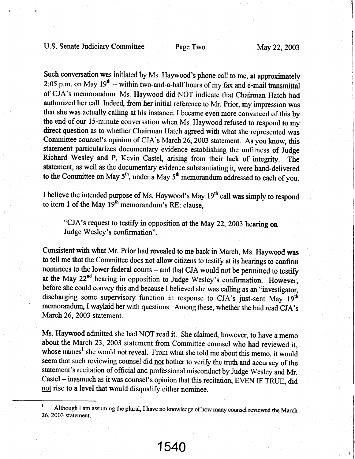Such conversation was initiated by Ms. Haywood's phone call to me, at approximately  $2:05$  p.m. on May  $19<sup>th</sup>$  -- within two-and-a-half hours of my fax and e-mail transmittal of CJA's memorandum. Ms. Haywood did NOT indicate that Chairman Hatch had authorized her call. Indeed, from her initial reference to Mr. Prior, my impression was that she was actually calling at his instance. I became even more convinced of this by the end of our 15-minute conversation when Ms. Haywood refused to respond to my direct question as to whether Chairman Hatch agreed with what she represented was Committee counsel's opinion of CJA's March 26,2003 statement. As you know, this statement particularizes documentary evidence establishing the unfitness of Judge Richard Wesley and P. Kevin Castel, arising from their lack of integrity. The statement, as well as the documentary evidence substantiating it, were hand-delivered to the Committee on May  $5<sup>th</sup>$ , under a May  $5<sup>th</sup>$  memorandum addressed to each of you.

I believe the intended purpose of Ms. Haywood's May 19<sup>th</sup> call was simply to respond to item 1 of the May 19<sup>th</sup> memorandum's RE: clause,

"CJA's request to testify in opposition at the May 22, 2003 hearing on Judge Wesley's confirmation".

Consistent with what Mr. Prior had revealed to me back in March, Ms. Haywood was to tell me that the Committee does not allow citizens to testify at its hearings to confirm nominees to the lower federal courts - and that CJA would not be permitted to testify at the May 22<sup>nd</sup> hearing in opposition to Judge Wesley's confirmation. However, before she could convey this and because I believed she was calling as an "investigator, discharging some supervisory function in response to CJA's just-sent May 19<sup>th</sup> memorandwn,I waylaid her with questions. Among these, whether she had read CJA's March 26, 2003 statement.

Ms. Haywood admitted she had NOT read it. She claimed, however, to have a memo about the March 23, 2003 statement from Committee counsel who had reviewed it, whose names<sup>1</sup> she would not reveal. From what she told me about this memo, it would seem that such reviewing counsel did not bother to verify the truth and accuracy of the statement's recitation of official and professional misconduct by Judge Wesley and Mr. Castel - inasmuch as it was counsel's opinion that this recitation, EVEN IF TRUE, did not rise to a level that would disqualify either nominee.

1540

Although I am assuming the plural, I have no knowledge of how many counsel reviewed the March 26,2003 statement.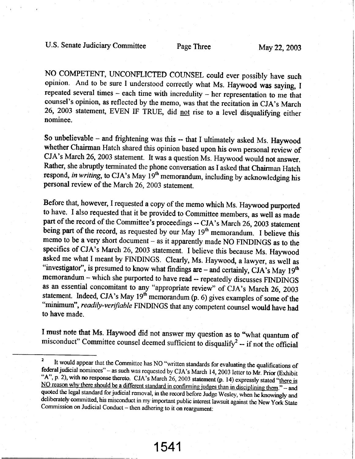NO COMPETENT, LINCONFLICTED COUNSEL could ever possibly have such opinion. And to be sure I understood correctly what Ms. Haywood was saying, I repeated several times - each time with incredulity - her representation to me that counsel's opinion, as reflected by the memo, was that the recitation in CJA's March 26, 2003 statement, EVEN IF TRUE, did not rise to a level disqualifying either nominee.

So unbelievable - and frightening was this -- that I ultimately asked Ms. Haywood whether Chairman Hatch shared this opinion based upon his own personal review of CJA's March 26,2003 statement. It was a question Ms. Haywood would not answer. Rather, she abruptly terminated the phone conversation as I asked that Chairman Hatch respond, in writing, to CJA's May  $19<sup>th</sup>$  memorandum, including by acknowledging his personal review of the March 26,2003 statement.

Before that, however, I requested a copy of the memo which Ms. Haywood purported to have. I also requested that it be provided to Committee members, as well as made part of the record of the Committee's proceedings -- CJA's March 26, 2003 statement being part of the record, as requested by our May 19<sup>th</sup> memorandum. I believe this memo to be a very short document  $-$  as it apparently made NO FINDINGS as to the specifics of CJA's March 26, 2003 statement. I believe this because Ms. Haywood asked me what I meant by FINDINGS. Clearly, Ms. Haywood, a lawyer, as well as "investigator", is presumed to know what findings are  $-$  and certainly, CJA's May 19<sup>th</sup> memorandum - which she purported to have read -- repeatedly discusses FINDINGS as an essential concomitant to any "appropriate review" of CJA's March 26, 2003 statement. Indeed, CJA's May  $19<sup>th</sup>$  memorandum (p. 6) gives examples of some of the "minimum", readily-verifiable FINDINGS that any competent counsel would have had to have made.

I must note that Ms. Haywood did not answer my question as to "what quantum of misconduct" Committee counsel deemed sufficient to disqualify<sup>2</sup> -- if not the official

<sup>&</sup>lt;sup>2</sup> It would appear that the Committee has NO "written standards for evaluating the qualifications of **federal** judicial nominees" – as such was requested by CJA's March 14, 2003 letter to Mr. Prior (Exhibit  $\frac{12}{10}$ "A", p. 2), with no response thereto. CJA's March 26, 2003 statement (p. 14) expressly stated "there is NO reason why there should be a different standard in confirming judges than in disciplining them." – and quoted the legal standard for judicial removal, in the record before Judge Wesley, when he knowingly and deliberately committed, his misconduct in my important public interest lawsuit against the New York State Commission on Judicial Conduct – then adhering to it on reargument: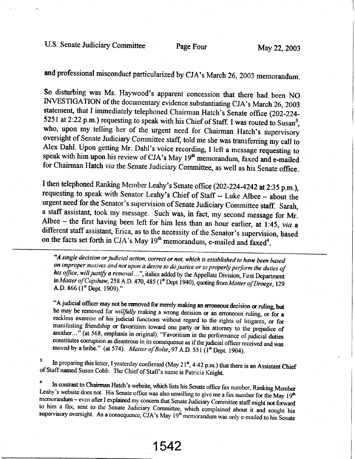U.S. Senate Judiciary Committee Page Four May 22, 2003

and professional misconduct particularized by CJA's March 26, 2003 memorandum.

So disturbing was Ms. Haywood's apparent concession that there had been NO INVESTIGATION of the documentary evidence substantiating CJA's March 26, 2003 statement, that I immediately telephoned Chairman Hatch's Senate office (202-224-5251 at 2:22 p.m.) requesting to speak with his Chief of Staff. I was routed to Susan<sup>3</sup>, who, upon my telling her of the urgent need for Chairman Hatch's supervisory oversight of Senate Judiciary Committee staff, told me she was transferring my call to Alex Dahl. Upon getting Mr. Dahl's voice recording, I left a message requesting to speak with him upon his review of CJA's May 19<sup>th</sup> memorandum, faxed and e-mailed for Chairman Hatch *via* the Senate Judiciary Committee,

I then telephoned Ranking Member Leahy's Senate office (202-224-4242 at 2:35 p.m.), requesting to speak with Senator Leahy's Chief of Staff -- Luke Albee - about the urgent need for the Senator's supervision of Senate Judiciary Committee staff. Sarah, a staff assistant, took my message. Such was, in fact, my second message for Mr. Albee - the first having been left for him less than an hour earlier, at 1:45, via a different staff assistant, Erica, as to the necessity of the Senator's supervision, based on the facts set forth in CJA's May  $19<sup>th</sup>$  memorandum, e-mailed and faxed<sup>4</sup>.

"A single decision or judicial action, correct or not, which is established to have been based his office, will justify a removal ...", italics added by the Appellate Division, First Department on improper motives and not upon a desire to do justice or to properly perform the duties of in Matter of Capshaw, 258 A.D. 470, 485 (l<sup>\*</sup> Dept 1940), quoting from Matter of Droege, 129 A.D. 866 (l<sup>\*</sup> Dept. 1909)."

"A judicial officer may not be removed for merely making an erroneous decision or ruling, but he may be removed for *willfully* making a wrong decision or an erroneous ruling, or for a reckless exercise of his judicial fu manifesting friendship or favoritism toward one party or his attorney to the prejudice of another..." (at 568, emphasis in original). "Favoritism in the performance of judicial duties constitutes corruption as disastrous

 $\overline{\mathbf{3}}$ of Staff named Susan Cobb. The Chief of Staff's name is Patricia Knight. In preparing this letter, I yesterday confirmed (May 21<sup> $\star$ </sup>, 4:42 p.m.) that there is an Assistant Chief

<sup>4</sup> In contrast to Chairman Hatch's website, which lists his Senate office fax number, Ranking Member Leahy's website does not. His Senate office was also unwilling to give me a fax number for the May  $19^{th}$  memorandum –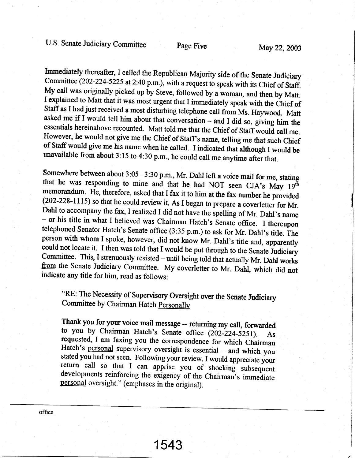Immediately thereafter, I called the Republican Majority side of the Senate Judiciary<br>Committee (202-224-5225 at 2:40 p.m.), with a request to speak with its Chief of Staff.<br>My call was originally picked up by Steve, follo

Somewhere between about 3:05 -3:30 p.m., Mr. Dahl left a voice mail for me, stating<br>that he was responding to mine and that he had NOT seen CJA's May  $19^{th}$ <br>memorandum. He, therefore, asked that I fax it to him at the fa - or his title in what I believed was Chairman Hatch's Senate office. I thereupon telephoned Senator Hatch's Senate office (3:35 p.m.) to ask for Mr. Dahl's title. The person with whom I spoke, however, did not know Mr. Da could not locate it. I then was told that I would be put through to the Senate Judiciary Committee. This, I strenuously resisted – until being told that actually Mr. Dahl works from the Senate Judiciary Committee. My cover

"RE: The Necessity of Supervisory Oversight over the Senate Judiciary Committee by Chairman Hatch Personally

Thank you for your voice mail message -- returning my call, forwarded<br>to you by Chairman Hatch's Senate office (202-224-5251). As to you by Channian Fratch s Senate office (202-224-5251). As<br>requested, I am faxing you the correspondence for which Chairman<br>Hatch's <u>personal</u> supervisory oversight is essential – and which you<br>stated you had not seen. F

1543

office.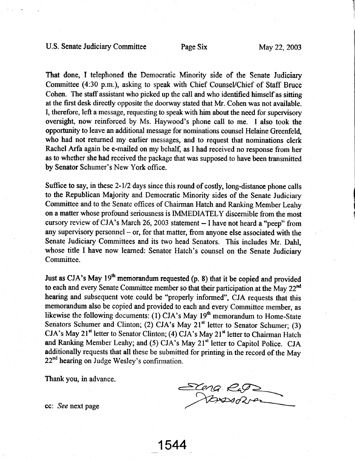#### U.S. Senate Judiciary Committee Page Six May 22, 2003

That done, I telephoned the Democratic Minority side of the Senate Judiciary Committee (4:30 p.m.), asking to speak with Chief Counsel/Chief of Staff Bruce Cohen. The staff assistant who picked up the call and who identified himself as sitting at the first desk directly opposite the doorway stated that Mr. Cohen was not available. I, therefore, left a message, requesting to speak with him about the need for supervisory oversight, now reinforced by Ms. Haywood's phone call to me. I also took the oppotunity to leave an additional message for nominations counsel Helaine Greenfel4 who had not returned my earlier messages, and to request that nominations clerk Rachel Arfa again be e-mailed on my behalf, as I had received no response from her as to whether she had received the package that was supposed to have been transmitted by Senator Schumer's New York office.

Suffice to say, in these 2-1/2 days since this round of costly, long-distance phone calls to the Republican Majority and Democratic Minority sides of the Senate Judiciary Committee and to the Senate offices of Chairman Hatch and Ranking Member Leahy on a matter whose profound seriousness is IMMEDIATELY discernible from the most cursory review of CJA's March 26, 2003 statement -- I have not heard a "peep" from any supervisory personnel  $-$  or, for that matter, from anyone else associated with the Senate Judiciary Committees and its two head Senators. This includes Mr. Dahl, whose title I have now learned: Senator Hatch's counsel on the Senate Judiciary Committee.

Just as CJA's May  $19<sup>th</sup>$  memorandum requested (p. 8) that it be copied and provided to each and every Senate Committee member so that their participation at the May  $22<sup>nd</sup>$ hearing and subsequent vote could be "properly informed", CJA requests that this memorandum also be copied and provided to each and every Committee member, as likewise the following documents: (1) CJA's May  $19<sup>th</sup>$  memorandum to Home-State Senators Schumer and Clinton; (2) CJA's May  $21<sup>st</sup>$  letter to Senator Schumer; (3) CJA's May 21<sup>st</sup> letter to Senator Clinton; (4) CJA's May 21<sup>st</sup> letter to Chairman Hatch and Ranking Member Leahy; and (5) CJA's May 21<sup>st</sup> letter to Capitol Police. CJA additionally requests that all these be submiffed for printing in the record of the May 22<sup>nd</sup> hearing on Judge Wesley's confirmation.

1544

Thank you, in advance.

Exeng Ru Novem

cc: See next page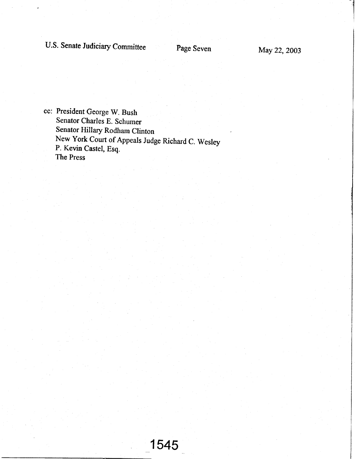# U.S. Senate Judiciary Committee Page Seven May 22, 2003

11.000 PM = 10.000 PM = 10.000 PM = 10.000 PM = 10.000 PM = 10.000 PM = 10.000 PM = 10.000 PM = 10.000 PM = 10

cc: President George W. Bush Senator Charles E. Schumer Senator Hillary Rodham Clinton New York Court of Appeals Judge Richard C. Wesley P. Kevin Castel, Esq. The Press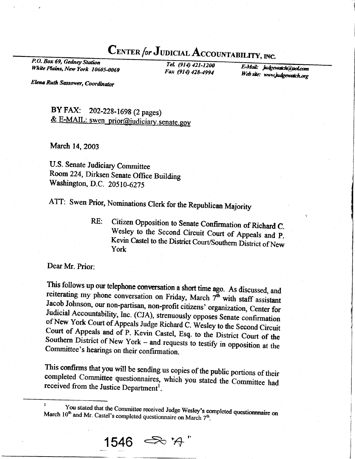**CENTER for JUDICIAL ACCOUNTABILITY, INC.**<br>P.O. Box 69, Gedney Station<br>Fel. (914) 421-1200<br>Fe Mail: inter

White Plains, New York 10605-0069

TeL (914) 421-12M EMuL i,r\*m@a\*r, Fax (914) 42&4994 lYdrfu wwwfit\$Mtotg

Elena Ruth Sassower, Coordinator

# BY FAX: 202-228-1698 (2 pages)<br>& E-MAIL: swen\_prior@judiciary.senate.gov

March 14, 2003

U.S. Senate Judiciary Committee Room 224, Dirksen Senate Office Building Washington, D.C. 20510-6275

ATT: Swen Prior, Nominations Clerk for the Republican Majority

RE: Citizen Opposition to Senate Confirmation of Richard C.<br>Wesley to the Second Circuit Court of Appeals and P. Kevin Castel to the District Court/Southern District of New York

Dear Mr. Prior:

I

This follows up our telephone conversation a short time ago. As discussed, and reiterating my phone conversation on Friday, March  $7^{\text{th}}$  with staff assistant Jacob Johnson, our non-partisan, non-profit citizens' organi

This confirms that you will be sending us copies of the public portions of their completed Committee questionnaires, which you stated the Committee had received from the Justice Department...

 $1546$   $\Rightarrow$  'A"

March 10<sup>th</sup> and Mr. Castel's co You stated that the Committee received Judge Wesley's completed questionnnaire on 0<sup>th</sup> and Mr. Castel's completed questionnaire on March 7<sup>th</sup>.